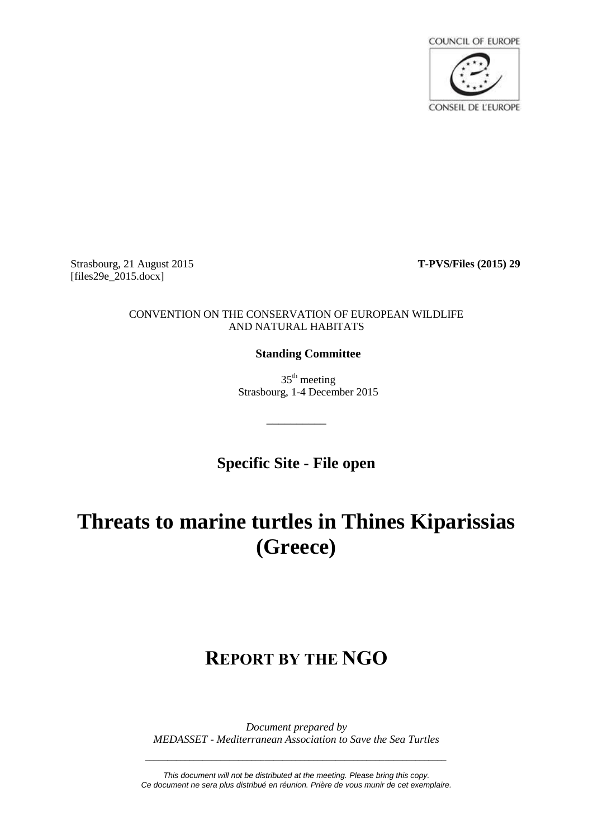

Strasbourg, 21 August 2015 **T-PVS/Files (2015) 29** [files29e\_2015.docx]

#### CONVENTION ON THE CONSERVATION OF EUROPEAN WILDLIFE AND NATURAL HABITATS

# **Standing Committee**

 $35<sup>th</sup>$  meeting Strasbourg, 1-4 December 2015

**Specific Site - File open**

\_\_\_\_\_\_\_\_\_\_

# **Threats to marine turtles in Thines Kiparissias (Greece)**

# **REPORT BY THE NGO**

*Document prepared by MEDASSET - Mediterranean Association to Save the Sea Turtles*

*This document will not be distributed at the meeting. Please bring this copy. Ce document ne sera plus distribué en réunion. Prière de vous munir de cet exemplaire.*

*\_\_\_\_\_\_\_\_\_\_\_\_\_\_\_\_\_\_\_\_\_\_\_\_\_\_\_\_\_\_\_\_\_\_\_\_\_\_\_\_\_\_\_\_\_\_\_\_\_\_\_\_\_\_\_\_\_\_\_\_\_\_\_\_\_\_\_\_*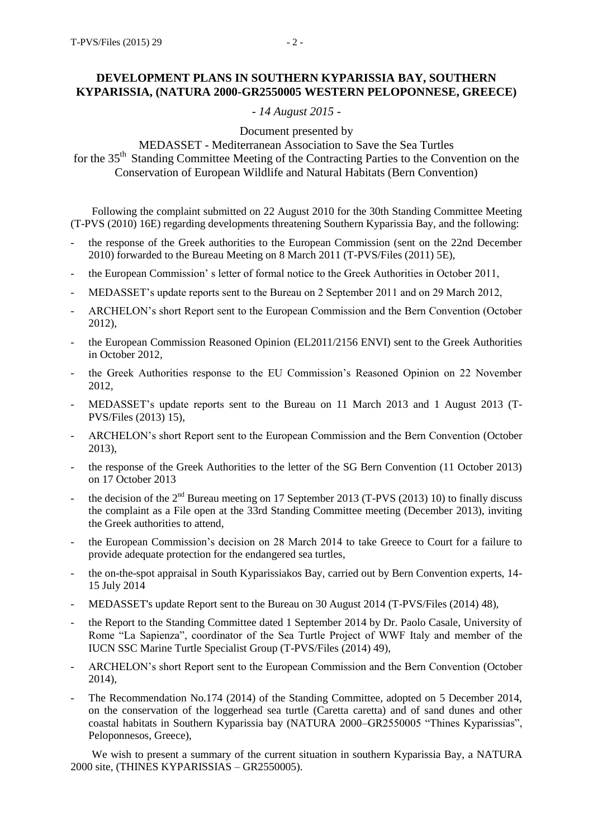## **DEVELOPMENT PLANS IN SOUTHERN KYPARISSIA BAY, SOUTHERN KYPARISSIA, (NATURA 2000-GR2550005 WESTERN PELOPONNESE, GREECE)**

### *- 14 August 2015 -*

Document presented by

MEDASSET - Mediterranean Association to Save the Sea Turtles

for the 35<sup>th</sup> Standing Committee Meeting of the Contracting Parties to the Convention on the Conservation of European Wildlife and Natural Habitats (Bern Convention)

Following the complaint submitted on 22 August 2010 for the 30th Standing Committee Meeting (T-PVS (2010) 16E) regarding developments threatening Southern Kyparissia Bay, and the following:

- the response of the Greek authorities to the European Commission (sent on the 22nd December 2010) forwarded to the Bureau Meeting on 8 March 2011 (T-PVS/Files (2011) 5E),
- the European Commission' s letter of formal notice to the Greek Authorities in October 2011,
- MEDASSET's update reports sent to the Bureau on 2 September 2011 and on 29 March 2012,
- ARCHELON's short Report sent to the European Commission and the Bern Convention (October 2012),
- the European Commission Reasoned Opinion (EL2011/2156 ENVI) sent to the Greek Authorities in October 2012,
- the Greek Authorities response to the EU Commission's Reasoned Opinion on 22 November 2012,
- MEDASSET's update reports sent to the Bureau on 11 March 2013 and 1 August 2013 (T-PVS/Files (2013) 15),
- ARCHELON's short Report sent to the European Commission and the Bern Convention (October 2013),
- the response of the Greek Authorities to the letter of the SG Bern Convention (11 October 2013) on 17 October 2013
- the decision of the  $2<sup>nd</sup>$  Bureau meeting on 17 September 2013 (T-PVS (2013) 10) to finally discuss the complaint as a File open at the 33rd Standing Committee meeting (December 2013), inviting the Greek authorities to attend,
- the European Commission's decision on 28 March 2014 to take Greece to Court for a failure to provide adequate protection for the endangered sea turtles,
- the on-the-spot appraisal in South Kyparissiakos Bay, carried out by Bern Convention experts, 14- 15 July 2014
- MEDASSET's update Report sent to the Bureau on 30 August 2014 (T-PVS/Files (2014) 48),
- the Report to the Standing Committee dated 1 September 2014 by Dr. Paolo Casale, University of Rome "La Sapienza", coordinator of the Sea Turtle Project of WWF Italy and member of the IUCN SSC Marine Turtle Specialist Group (T-PVS/Files (2014) 49),
- ARCHELON's short Report sent to the European Commission and the Bern Convention (October 2014),
- The Recommendation No.174 (2014) of the Standing Committee, adopted on 5 December 2014, on the conservation of the loggerhead sea turtle (Caretta caretta) and of sand dunes and other coastal habitats in Southern Kyparissia bay (NATURA 2000–GR2550005 "Thines Kyparissias", Peloponnesos, Greece),

We wish to present a summary of the current situation in southern Kyparissia Bay, a NATURA 2000 site, (THINES KYPARISSIAS – GR2550005).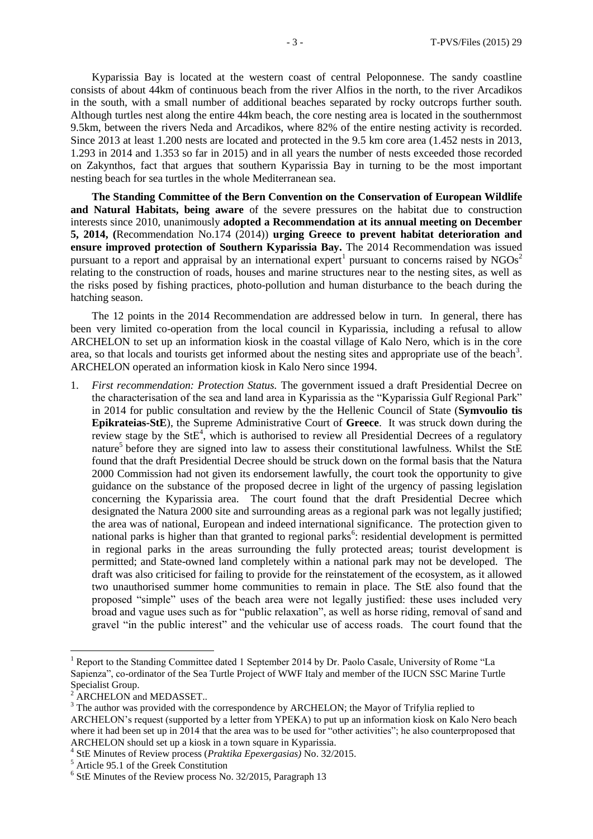Kyparissia Bay is located at the western coast of central Peloponnese. The sandy coastline consists of about 44km of continuous beach from the river Alfios in the north, to the river Arcadikos in the south, with a small number of additional beaches separated by rocky outcrops further south. Although turtles nest along the entire 44km beach, the core nesting area is located in the southernmost 9.5km, between the rivers Neda and Arcadikos, where 82% of the entire nesting activity is recorded. Since 2013 at least 1.200 nests are located and protected in the 9.5 km core area (1.452 nests in 2013, 1.293 in 2014 and 1.353 so far in 2015) and in all years the number of nests exceeded those recorded on Zakynthos, fact that argues that southern Kyparissia Bay in turning to be the most important nesting beach for sea turtles in the whole Mediterranean sea.

**The Standing Committee of the Bern Convention on the Conservation of European Wildlife and Natural Habitats, being aware** of the severe pressures on the habitat due to construction interests since 2010, unanimously **adopted a Recommendation at its annual meeting on December 5, 2014, (**Recommendation No.174 (2014)) **urging Greece to prevent habitat deterioration and ensure improved protection of Southern Kyparissia Bay.** The 2014 Recommendation was issued pursuant to a report and appraisal by an international expert<sup>1</sup> pursuant to concerns raised by  $NGOs<sup>2</sup>$ relating to the construction of roads, houses and marine structures near to the nesting sites, as well as the risks posed by fishing practices, photo-pollution and human disturbance to the beach during the hatching season.

The 12 points in the 2014 Recommendation are addressed below in turn. In general, there has been very limited co-operation from the local council in Kyparissia, including a refusal to allow ARCHELON to set up an information kiosk in the coastal village of Kalo Nero, which is in the core area, so that locals and tourists get informed about the nesting sites and appropriate use of the beach<sup>3</sup>. ARCHELON operated an information kiosk in Kalo Nero since 1994.

1. *First recommendation: Protection Status.* The government issued a draft Presidential Decree on the characterisation of the sea and land area in Kyparissia as the "Kyparissia Gulf Regional Park" in 2014 for public consultation and review by the the Hellenic Council of State (**Symvoulio tis Epikrateias-StE**), the Supreme Administrative Court of **Greece**. It was struck down during the review stage by the  $StE<sup>4</sup>$ , which is authorised to review all Presidential Decrees of a regulatory nature<sup>5</sup> before they are signed into law to assess their constitutional lawfulness. Whilst the StE found that the draft Presidential Decree should be struck down on the formal basis that the Natura 2000 Commission had not given its endorsement lawfully, the court took the opportunity to give guidance on the substance of the proposed decree in light of the urgency of passing legislation concerning the Kyparissia area. The court found that the draft Presidential Decree which designated the Natura 2000 site and surrounding areas as a regional park was not legally justified; the area was of national, European and indeed international significance. The protection given to national parks is higher than that granted to regional parks<sup>6</sup>: residential development is permitted in regional parks in the areas surrounding the fully protected areas; tourist development is permitted; and State-owned land completely within a national park may not be developed. The draft was also criticised for failing to provide for the reinstatement of the ecosystem, as it allowed two unauthorised summer home communities to remain in place. The StE also found that the proposed "simple" uses of the beach area were not legally justified: these uses included very broad and vague uses such as for "public relaxation", as well as horse riding, removal of sand and gravel "in the public interest" and the vehicular use of access roads. The court found that the

 $\overline{a}$ 

<sup>&</sup>lt;sup>1</sup> Report to the Standing Committee dated 1 September 2014 by Dr. Paolo Casale, University of Rome "La Sapienza", co-ordinator of the Sea Turtle Project of WWF Italy and member of the IUCN SSC Marine Turtle Specialist Group.

<sup>&</sup>lt;sup>2</sup> ARCHELON and MEDASSET..

<sup>&</sup>lt;sup>3</sup> The author was provided with the correspondence by ARCHELON; the Mayor of Trifylia replied to ARCHELON's request (supported by a letter from YPEKA) to put up an information kiosk on Kalo Nero beach where it had been set up in 2014 that the area was to be used for "other activities"; he also counterproposed that ARCHELON should set up a kiosk in a town square in Kyparissia.

<sup>4</sup> StE Minutes of Review process (*Praktika Epexergasias)* No. 32/2015.

 $5$  Article 95.1 of the Greek Constitution

<sup>&</sup>lt;sup>6</sup> StE Minutes of the Review process No. 32/2015, Paragraph 13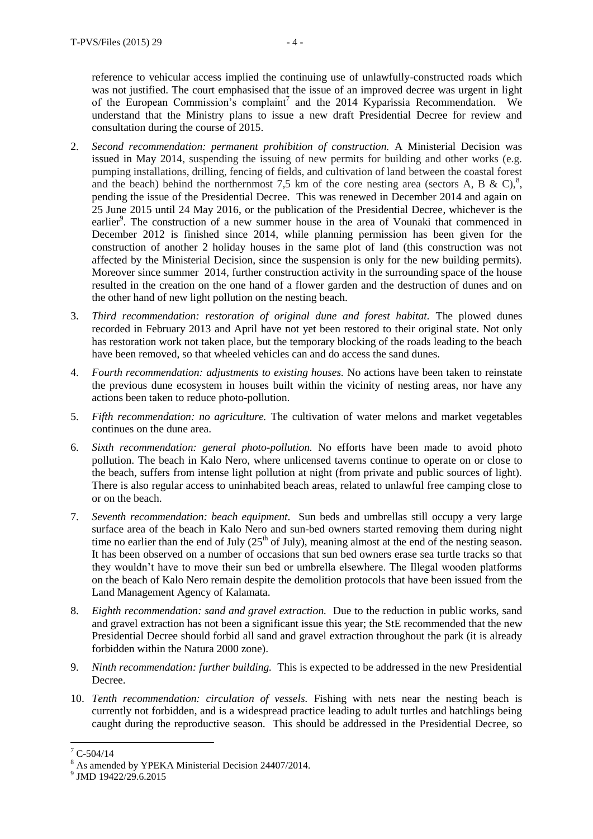reference to vehicular access implied the continuing use of unlawfully-constructed roads which was not justified. The court emphasised that the issue of an improved decree was urgent in light of the European Commission's complaint<sup>7</sup> and the 2014 Kyparissia Recommendation. We understand that the Ministry plans to issue a new draft Presidential Decree for review and consultation during the course of 2015.

- 2. *Second recommendation: permanent prohibition of construction.* A Ministerial Decision was issued in May 2014, suspending the issuing of new permits for building and other works (e.g. pumping installations, drilling, fencing of fields, and cultivation of land between the coastal forest and the beach) behind the northernmost 7,5 km of the core nesting area (sectors A, B & C),<sup>8</sup>, pending the issue of the Presidential Decree. This was renewed in December 2014 and again on 25 June 2015 until 24 May 2016, or the publication of the Presidential Decree, whichever is the earlier<sup>9</sup>. The construction of a new summer house in the area of Vounaki that commenced in December 2012 is finished since 2014, while planning permission has been given for the construction of another 2 holiday houses in the same plot of land (this construction was not affected by the Ministerial Decision, since the suspension is only for the new building permits). Moreover since summer 2014, further construction activity in the surrounding space of the house resulted in the creation on the one hand of a flower garden and the destruction of dunes and on the other hand of new light pollution on the nesting beach.
- 3. *Third recommendation: restoration of original dune and forest habitat.* The plowed dunes recorded in February 2013 and April have not yet been restored to their original state. Not only has restoration work not taken place, but the temporary blocking of the roads leading to the beach have been removed, so that wheeled vehicles can and do access the sand dunes.
- 4. *Fourth recommendation: adjustments to existing houses.* No actions have been taken to reinstate the previous dune ecosystem in houses built within the vicinity of nesting areas, nor have any actions been taken to reduce photo-pollution.
- 5. *Fifth recommendation: no agriculture.* The cultivation of water melons and market vegetables continues on the dune area.
- 6. *Sixth recommendation: general photo-pollution.* No efforts have been made to avoid photo pollution. The beach in Kalo Nero, where unlicensed taverns continue to operate on or close to the beach, suffers from intense light pollution at night (from private and public sources of light). There is also regular access to uninhabited beach areas, related to unlawful free camping close to or on the beach.
- 7. *Seventh recommendation: beach equipment*. Sun beds and umbrellas still occupy a very large surface area of the beach in Kalo Nero and sun-bed owners started removing them during night time no earlier than the end of July  $(25<sup>th</sup>$  of July), meaning almost at the end of the nesting season. It has been observed on a number of occasions that sun bed owners erase sea turtle tracks so that they wouldn't have to move their sun bed or umbrella elsewhere. The Illegal wooden platforms on the beach of Kalo Nero remain despite the demolition protocols that have been issued from the Land Management Agency of Kalamata.
- 8. *Eighth recommendation: sand and gravel extraction.* Due to the reduction in public works, sand and gravel extraction has not been a significant issue this year; the StE recommended that the new Presidential Decree should forbid all sand and gravel extraction throughout the park (it is already forbidden within the Natura 2000 zone).
- 9. *Ninth recommendation: further building.* This is expected to be addressed in the new Presidential Decree.
- 10. *Tenth recommendation: circulation of vessels.* Fishing with nets near the nesting beach is currently not forbidden, and is a widespread practice leading to adult turtles and hatchlings being caught during the reproductive season. This should be addressed in the Presidential Decree, so

 $\overline{a}$ 

 $7^7$  C-504/14

<sup>&</sup>lt;sup>8</sup> As amended by YPEKA Ministerial Decision 24407/2014.

<sup>&</sup>lt;sup>9</sup> JMD 19422/29.6.2015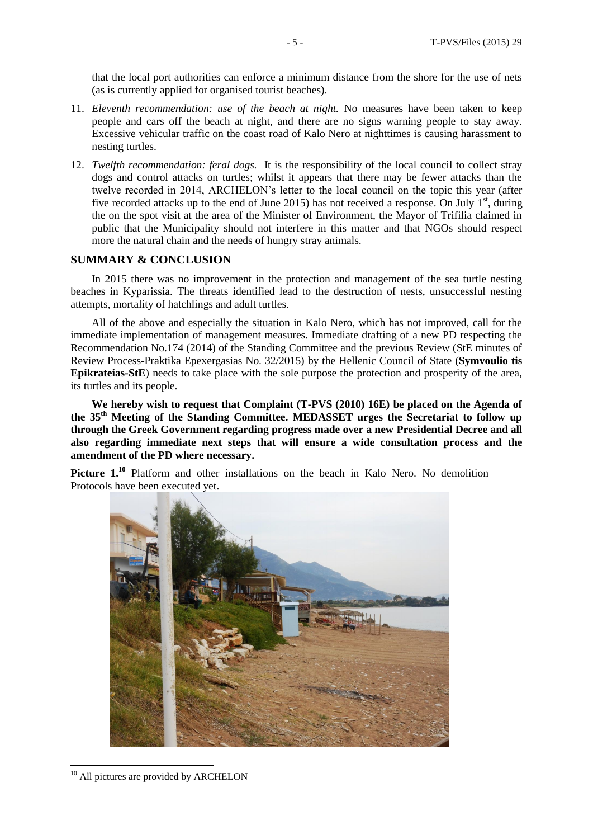that the local port authorities can enforce a minimum distance from the shore for the use of nets (as is currently applied for organised tourist beaches).

- 11. *Eleventh recommendation: use of the beach at night.* No measures have been taken to keep people and cars off the beach at night, and there are no signs warning people to stay away. Excessive vehicular traffic on the coast road of Kalo Nero at nighttimes is causing harassment to nesting turtles.
- 12. *Twelfth recommendation: feral dogs.* It is the responsibility of the local council to collect stray dogs and control attacks on turtles; whilst it appears that there may be fewer attacks than the twelve recorded in 2014, ARCHELON's letter to the local council on the topic this year (after five recorded attacks up to the end of June 2015) has not received a response. On July  $1<sup>st</sup>$ , during the on the spot visit at the area of the Minister of Environment, the Mayor of Trifilia claimed in public that the Municipality should not interfere in this matter and that NGOs should respect more the natural chain and the needs of hungry stray animals.

### **SUMMARY & CONCLUSION**

In 2015 there was no improvement in the protection and management of the sea turtle nesting beaches in Kyparissia. The threats identified lead to the destruction of nests, unsuccessful nesting attempts, mortality of hatchlings and adult turtles.

All of the above and especially the situation in Kalo Nero, which has not improved, call for the immediate implementation of management measures. Immediate drafting of a new PD respecting the Recommendation No.174 (2014) of the Standing Committee and the previous Review (StE minutes of Review Process-Praktika Epexergasias No. 32/2015) by the Hellenic Council of State (**Symvoulio tis Epikrateias-StE**) needs to take place with the sole purpose the protection and prosperity of the area, its turtles and its people.

**We hereby wish to request that Complaint (T-PVS (2010) 16E) be placed on the Agenda of the 35 th Meeting of the Standing Committee. MEDASSET urges the Secretariat to follow up through the Greek Government regarding progress made over a new Presidential Decree and all also regarding immediate next steps that will ensure a wide consultation process and the amendment of the PD where necessary.**

**Picture 1.<sup>10</sup>** Platform and other installations on the beach in Kalo Nero. No demolition Protocols have been executed yet.



<sup>&</sup>lt;sup>10</sup> All pictures are provided by ARCHELON

 $\overline{a}$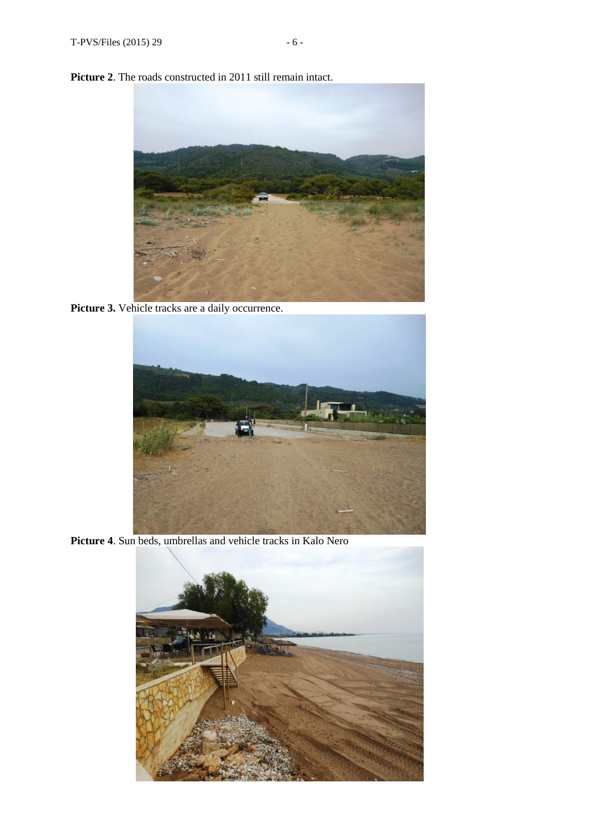Picture 2. The roads constructed in 2011 still remain intact.



Picture 3. Vehicle tracks are a daily occurrence.



**Picture 4**. Sun beds, umbrellas and vehicle tracks in Kalo Nero